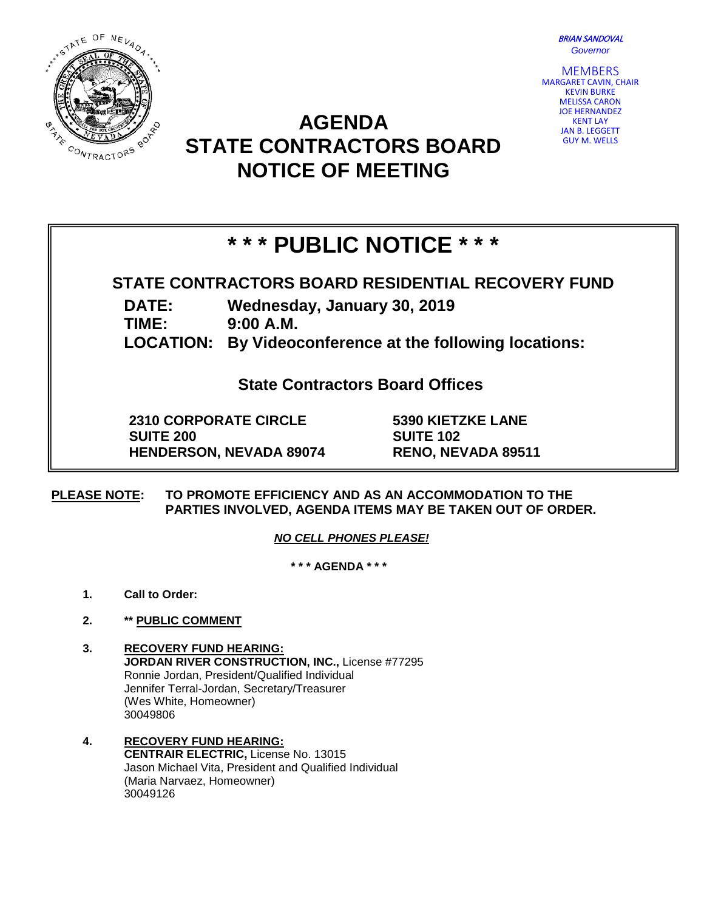BRIAN SANDOVAL *Governor*



## GUY M. WELLS **STATE CONTRACTORS BOARD**



# **NOTICE OF MEETING**

**AGENDA** 

## **\* \* \* PUBLIC NOTICE \* \* \***

### **STATE CONTRACTORS BOARD RESIDENTIAL RECOVERY FUND**

**DATE: Wednesday, January 30, 2019**

**TIME: 9:00 A.M.**

**LOCATION: By Videoconference at the following locations:**

**State Contractors Board Offices**

**2310 CORPORATE CIRCLE SUITE 200 HENDERSON, NEVADA 89074** **5390 KIETZKE LANE SUITE 102 RENO, NEVADA 89511**

**PLEASE NOTE: TO PROMOTE EFFICIENCY AND AS AN ACCOMMODATION TO THE PARTIES INVOLVED, AGENDA ITEMS MAY BE TAKEN OUT OF ORDER.**

*NO CELL PHONES PLEASE!* 

**\* \* \* AGENDA \* \* \***

- **1. Call to Order:**
- **2. \*\* PUBLIC COMMENT**
- **3. RECOVERY FUND HEARING: JORDAN RIVER CONSTRUCTION, INC.,** License #77295 Ronnie Jordan, President/Qualified Individual Jennifer Terral-Jordan, Secretary/Treasurer (Wes White, Homeowner) 30049806
- **4. RECOVERY FUND HEARING: CENTRAIR ELECTRIC,** License No. 13015 Jason Michael Vita, President and Qualified Individual (Maria Narvaez, Homeowner) 30049126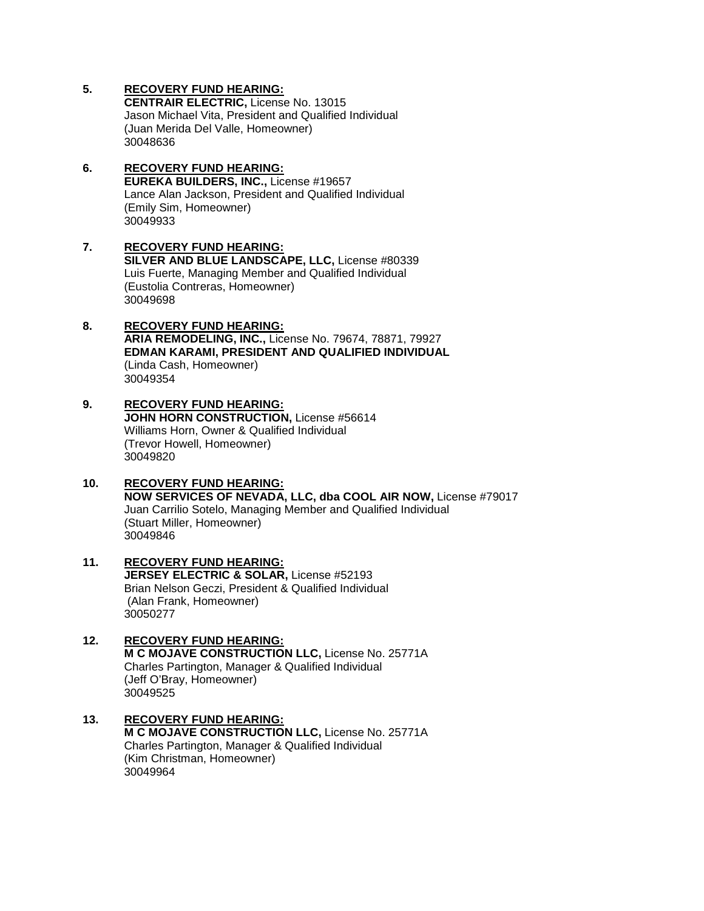**CENTRAIR ELECTRIC,** License No. 13015 Jason Michael Vita, President and Qualified Individual (Juan Merida Del Valle, Homeowner) 30048636

- **6. RECOVERY FUND HEARING: EUREKA BUILDERS, INC.,** License #19657 Lance Alan Jackson, President and Qualified Individual (Emily Sim, Homeowner) 30049933
- **7. RECOVERY FUND HEARING: SILVER AND BLUE LANDSCAPE, LLC,** License #80339 Luis Fuerte, Managing Member and Qualified Individual (Eustolia Contreras, Homeowner) 30049698
- **8. RECOVERY FUND HEARING: ARIA REMODELING, INC.,** License No. 79674, 78871, 79927 **EDMAN KARAMI, PRESIDENT AND QUALIFIED INDIVIDUAL** (Linda Cash, Homeowner) 30049354
- **9. RECOVERY FUND HEARING: JOHN HORN CONSTRUCTION,** License #56614 Williams Horn, Owner & Qualified Individual (Trevor Howell, Homeowner) 30049820
- **10. RECOVERY FUND HEARING: NOW SERVICES OF NEVADA, LLC, dba COOL AIR NOW,** License #79017 Juan Carrilio Sotelo, Managing Member and Qualified Individual (Stuart Miller, Homeowner) 30049846
- **11. RECOVERY FUND HEARING: JERSEY ELECTRIC & SOLAR,** License #52193 Brian Nelson Geczi, President & Qualified Individual (Alan Frank, Homeowner) 30050277
- **12. RECOVERY FUND HEARING: M C MOJAVE CONSTRUCTION LLC,** License No. 25771A Charles Partington, Manager & Qualified Individual (Jeff O'Bray, Homeowner) 30049525
- **13. RECOVERY FUND HEARING: M C MOJAVE CONSTRUCTION LLC,** License No. 25771A Charles Partington, Manager & Qualified Individual (Kim Christman, Homeowner) 30049964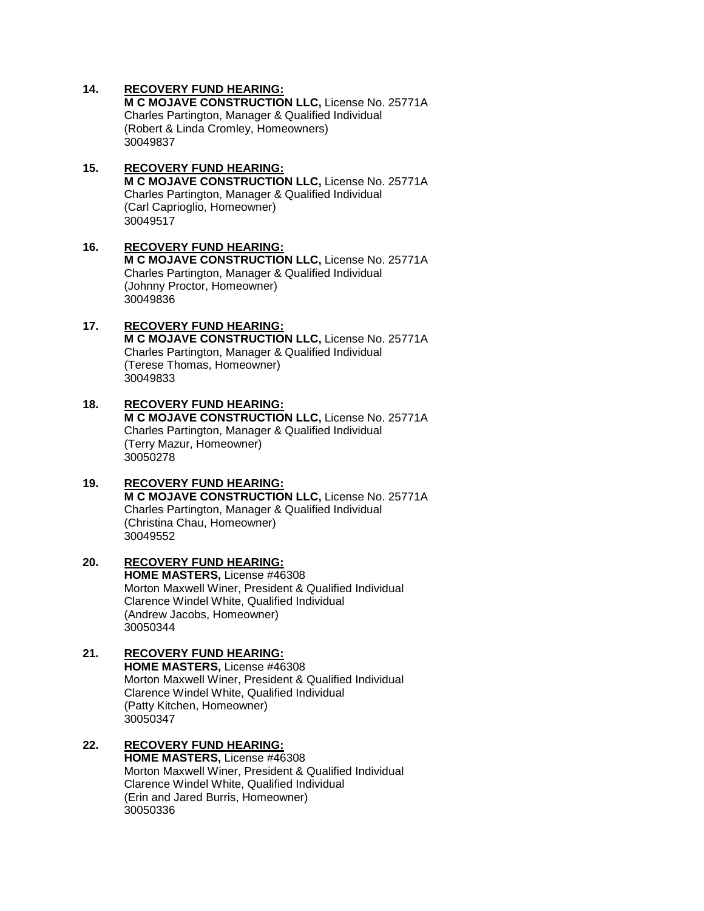**M C MOJAVE CONSTRUCTION LLC,** License No. 25771A Charles Partington, Manager & Qualified Individual (Robert & Linda Cromley, Homeowners) 30049837

#### **15. RECOVERY FUND HEARING: M C MOJAVE CONSTRUCTION LLC,** License No. 25771A Charles Partington, Manager & Qualified Individual (Carl Caprioglio, Homeowner) 30049517

#### **16. RECOVERY FUND HEARING: M C MOJAVE CONSTRUCTION LLC,** License No. 25771A Charles Partington, Manager & Qualified Individual (Johnny Proctor, Homeowner) 30049836

#### **17. RECOVERY FUND HEARING: M C MOJAVE CONSTRUCTION LLC,** License No. 25771A Charles Partington, Manager & Qualified Individual (Terese Thomas, Homeowner) 30049833

#### **18. RECOVERY FUND HEARING: M C MOJAVE CONSTRUCTION LLC,** License No. 25771A Charles Partington, Manager & Qualified Individual (Terry Mazur, Homeowner) 30050278

#### **19. RECOVERY FUND HEARING: M C MOJAVE CONSTRUCTION LLC,** License No. 25771A Charles Partington, Manager & Qualified Individual (Christina Chau, Homeowner) 30049552

#### **20. RECOVERY FUND HEARING: HOME MASTERS,** License #46308 Morton Maxwell Winer, President & Qualified Individual Clarence Windel White, Qualified Individual (Andrew Jacobs, Homeowner) 30050344

#### **21. RECOVERY FUND HEARING: HOME MASTERS,** License #46308 Morton Maxwell Winer, President & Qualified Individual Clarence Windel White, Qualified Individual (Patty Kitchen, Homeowner) 30050347

#### **22. RECOVERY FUND HEARING: HOME MASTERS,** License #46308 Morton Maxwell Winer, President & Qualified Individual Clarence Windel White, Qualified Individual (Erin and Jared Burris, Homeowner) 30050336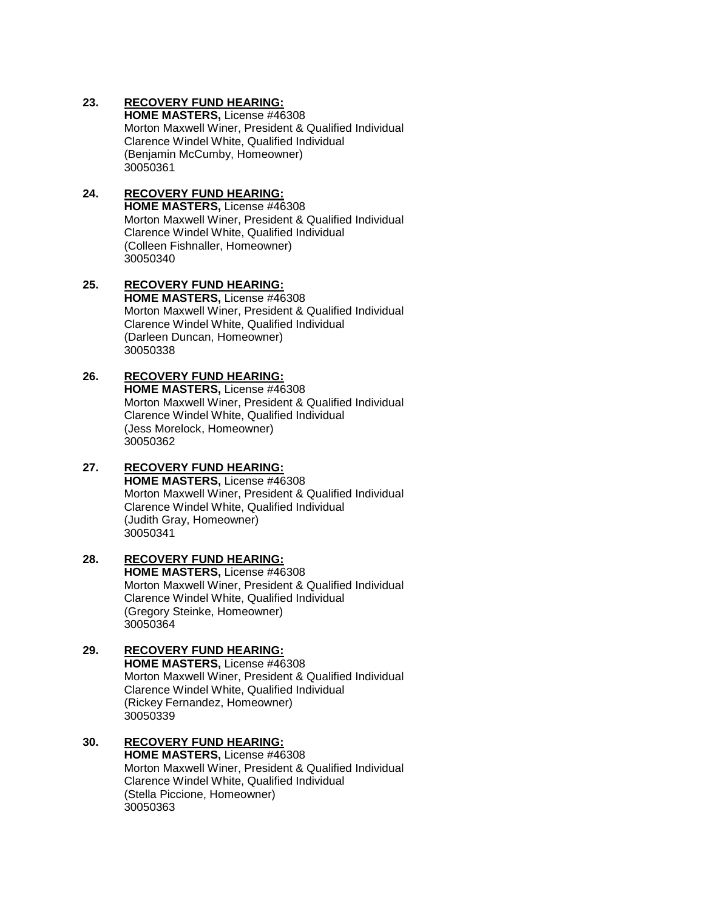**HOME MASTERS,** License #46308 Morton Maxwell Winer, President & Qualified Individual Clarence Windel White, Qualified Individual (Benjamin McCumby, Homeowner) 30050361

#### **24. RECOVERY FUND HEARING: HOME MASTERS,** License #46308 Morton Maxwell Winer, President & Qualified Individual Clarence Windel White, Qualified Individual (Colleen Fishnaller, Homeowner) 30050340

#### **25. RECOVERY FUND HEARING: HOME MASTERS,** License #46308 Morton Maxwell Winer, President & Qualified Individual Clarence Windel White, Qualified Individual (Darleen Duncan, Homeowner) 30050338

#### **26. RECOVERY FUND HEARING: HOME MASTERS,** License #46308 Morton Maxwell Winer, President & Qualified Individual Clarence Windel White, Qualified Individual (Jess Morelock, Homeowner) 30050362

#### **27. RECOVERY FUND HEARING: HOME MASTERS,** License #46308 Morton Maxwell Winer, President & Qualified Individual Clarence Windel White, Qualified Individual

(Judith Gray, Homeowner) 30050341

#### **28. RECOVERY FUND HEARING: HOME MASTERS,** License #46308 Morton Maxwell Winer, President & Qualified Individual Clarence Windel White, Qualified Individual (Gregory Steinke, Homeowner) 30050364

#### **29. RECOVERY FUND HEARING: HOME MASTERS,** License #46308 Morton Maxwell Winer, President & Qualified Individual Clarence Windel White, Qualified Individual (Rickey Fernandez, Homeowner) 30050339

#### **30. RECOVERY FUND HEARING: HOME MASTERS,** License #46308 Morton Maxwell Winer, President & Qualified Individual Clarence Windel White, Qualified Individual (Stella Piccione, Homeowner) 30050363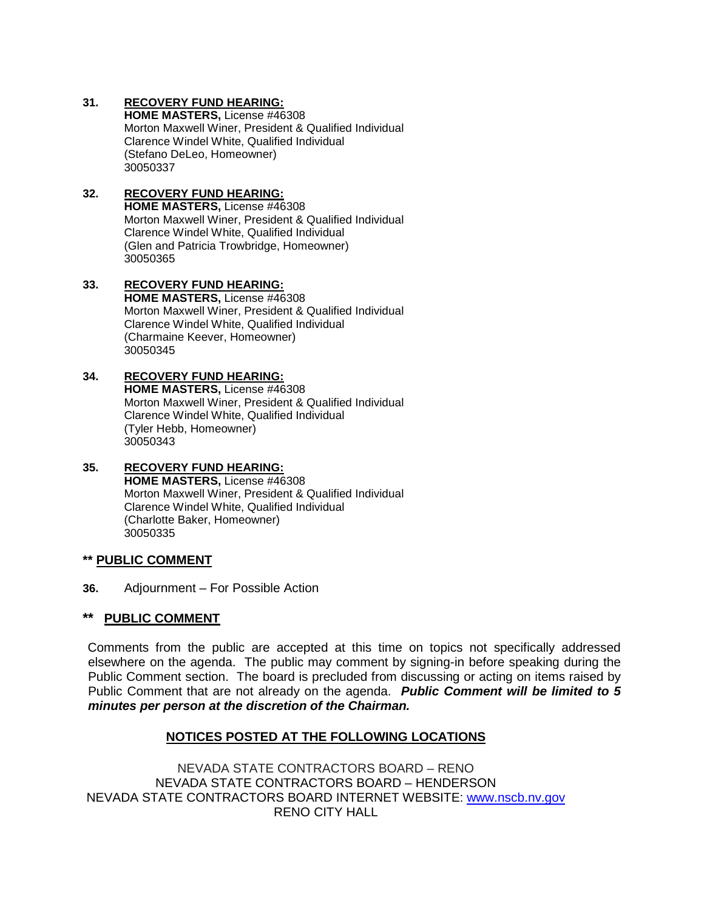**HOME MASTERS,** License #46308 Morton Maxwell Winer, President & Qualified Individual Clarence Windel White, Qualified Individual (Stefano DeLeo, Homeowner) 30050337

#### **32. RECOVERY FUND HEARING: HOME MASTERS,** License #46308 Morton Maxwell Winer, President & Qualified Individual Clarence Windel White, Qualified Individual (Glen and Patricia Trowbridge, Homeowner) 30050365

#### **33. RECOVERY FUND HEARING: HOME MASTERS,** License #46308 Morton Maxwell Winer, President & Qualified Individual Clarence Windel White, Qualified Individual (Charmaine Keever, Homeowner) 30050345

#### **34. RECOVERY FUND HEARING: HOME MASTERS,** License #46308 Morton Maxwell Winer, President & Qualified Individual Clarence Windel White, Qualified Individual (Tyler Hebb, Homeowner) 30050343

#### **35. RECOVERY FUND HEARING: HOME MASTERS,** License #46308 Morton Maxwell Winer, President & Qualified Individual Clarence Windel White, Qualified Individual (Charlotte Baker, Homeowner) 30050335

#### **\*\* PUBLIC COMMENT**

**36.** Adjournment – For Possible Action

#### **\*\* PUBLIC COMMENT**

Comments from the public are accepted at this time on topics not specifically addressed elsewhere on the agenda. The public may comment by signing-in before speaking during the Public Comment section. The board is precluded from discussing or acting on items raised by Public Comment that are not already on the agenda. *Public Comment will be limited to 5 minutes per person at the discretion of the Chairman.*

#### **NOTICES POSTED AT THE FOLLOWING LOCATIONS**

NEVADA STATE CONTRACTORS BOARD – RENO NEVADA STATE CONTRACTORS BOARD – HENDERSON NEVADA STATE CONTRACTORS BOARD INTERNET WEBSITE: [www.nscb.nv.gov](http://www.nscb.nv.gov/) RENO CITY HALL